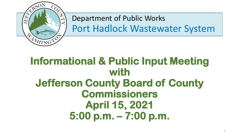

Department of Public Works Port Hadlock Wastewater System

## **Informational & Public Input Meeting with Jefferson County Board of County Commissioners April 15, 2021 5:00 p.m. – 7:00 p.m.**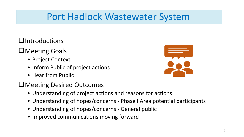#### **Q**Introductions

#### **O**Meeting Goals

- Project Context
- Inform Public of project actions
- Hear from Public
- Meeting Desired Outcomes
	- Understanding of project actions and reasons for actions
	- Understanding of hopes/concerns Phase I Area potential participants
	- Understanding of hopes/concerns General public
	- Improved communications moving forward

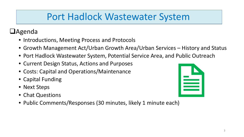#### $\Box$ Agenda

- Introductions, Meeting Process and Protocols
- Growth Management Act/Urban Growth Area/Urban Services History and Status
- Port Hadlock Wastewater System, Potential Service Area, and Public Outreach
- Current Design Status, Actions and Purposes
- Costs: Capital and Operations/Maintenance
- Capital Funding
- Next Steps
- Chat Questions
- Public Comments/Responses (30 minutes, likely 1 minute each)

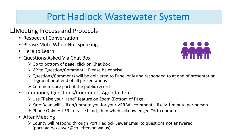#### ■Meeting Process and Protocols

- Respectful Conversation
- Please Mute When Not Speaking
- Here to Learn
- Questions Asked Via Chat Box
	- $\triangleright$  Go to bottom of page, click on Chat Box
	- Write Question/Comment Please be concise
	- Questions/Comments will be delivered to Panel only and responded to at end of presentation segment or at end of all presentations
	- $\triangleright$  Comments are part of the public record
- Community Questions/Comments Agenda Item
	- Use "Raise your Hand" feature on Zoom (Bottom of Page)
	- $\triangleright$  Kate Dean will call on/unmute you for your VERBAL comment likely 1 minute per person
	- $\triangleright$  Phone Only: Hit \*9 to raise hand, then when acknowledged \*6 to unmute
- After Meeting
	- County will respond through Port Hadlock Sewer Email to questions not answered (porthadlocksewer@co.jefferson.wa.us)

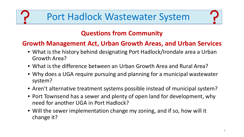

#### **Questions from Community**

#### **Growth Management Act, Urban Growth Areas, and Urban Services**

- What is the history behind designating Port Hadlock/Irondale area a Urban Growth Area?
- What is the difference between an Urban Growth Area and Rural Area?
- Why does a UGA require pursuing and planning for a municipal wastewater system?
- Aren't alternative treatment systems possible instead of municipal system?
- Port Townsend has a sewer and plenty of open land for development, why need for another UGA in Port Hadlock?
- Will the sewer implementation change my zoning, and if so, how will it change it?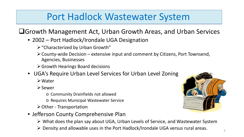#### Growth Management Act, Urban Growth Areas, and Urban Services

- 2002 Port Hadlock/Irondale UGA Designation
	- $\triangleright$  "Characterized by Urban Growth"
	- $\triangleright$  County-wide Decision extensive input and comment by Citizens, Port Townsend, Agencies, Businesses
	- Growth Hearings Board decisions
- UGA's Require Urban Level Services for Urban Level Zoning
	- Water
	- **≻Sewer** 
		- o Community Drainfields not allowed
		- o Requires Municipal Wastewater Service
	- Other Transportation
- Jefferson County Comprehensive Plan
	- What does the plan say about UGA, Urban Levels of Service, and Wastewater System
	- Density and allowable uses in the Port Hadlock/Irondale UGA versus rural areas.

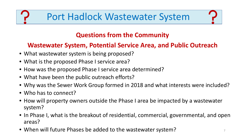#### **Questions from the Community**

#### **Wastewater System, Potential Service Area, and Public Outreach**

- What wastewater system is being proposed?
- What is the proposed Phase I service area?
- How was the proposed Phase I service area determined?
- What have been the public outreach efforts?
- Why was the Sewer Work Group formed in 2018 and what interests were included?
- Who has to connect?
- How will property owners outside the Phase I area be impacted by a wastewater system?
- In Phase I, what is the breakout of residential, commercial, governmental, and open areas?
- When will future Phases be added to the wastewater system?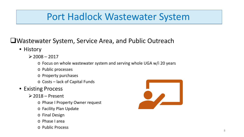#### Wastewater System, Service Area, and Public Outreach

- History
	- $\geq$  2008 2017
		- o Focus on whole wastewater system and serving whole UGA w/i 20 years
		- o Public processes
		- o Property purchases
		- o Costs lack of Capital Funds
- Existing Process
	- $\geq$  2018 Present
		- o Phase I Property Owner request
		- o Facility Plan Update
		- o Final Design
		- o Phase I area
		- o Public Process

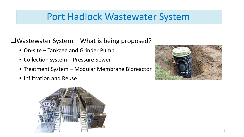$\Box$ Wastewater System – What is being proposed?

- On-site Tankage and Grinder Pump
- Collection system Pressure Sewer
- Treatment System Modular Membrane Bioreactor
- Infiltration and Reuse



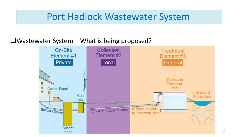#### $\Box$ Wastewater System – What is being proposed?

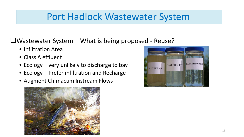$\Box$ Wastewater System – What is being proposed - Reuse?

- Infiltration Area
- Class A effluent
- Ecology very unlikely to discharge to bay
- Ecology Prefer infiltration and Recharge
- Augment Chimacum Instream Flows



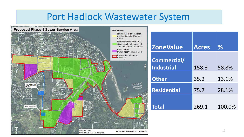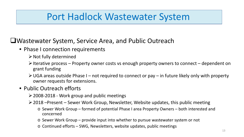Wastewater System, Service Area, and Public Outreach

- Phase I connection requirements
	- $\triangleright$  Not fully determined
	- $\triangleright$  Iterative process Property owner costs vs enough property owners to connect dependent on grant funding
	- $\triangleright$  UGA areas outside Phase I not required to connect or pay in future likely only with property owner requests for extensions.

#### • Public Outreach efforts

- $\geq$  2008-2018 Work group and public meetings
- 2018 –Present Sewer Work Group, Newsletter, Website updates, this public meeting
	- o Sewer Work Group formed of potential Phase I area Property Owners both interested and concerned
	- o Sewer Work Group provide input into whether to pursue wastewater system or not
	- o Continued efforts SWG, Newsletters, website updates, public meetings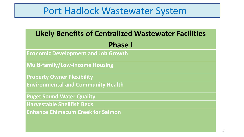| <b>Likely Benefits of Centralized Wastewater Facilities</b> |  |
|-------------------------------------------------------------|--|
| <b>Phase I</b>                                              |  |
| <b>Economic Development and Job Growth</b>                  |  |
| <b>Multi-family/Low-income Housing</b>                      |  |
| <b>Property Owner Flexibility</b>                           |  |
| <b>Environmental and Community Health</b>                   |  |
| <b>Puget Sound Water Quality</b>                            |  |
| <b>Harvestable Shellfish Beds</b>                           |  |
| <b>Enhance Chimacum Creek for Salmon</b>                    |  |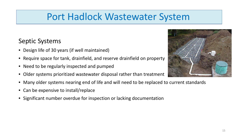#### Septic Systems

- Design life of 30 years (if well maintained)
- Require space for tank, drainfield, and reserve drainfield on property
- Need to be regularly inspected and pumped
- Older systems prioritized wastewater disposal rather than treatment
- Many older systems nearing end of life and will need to be replaced to current standards
- Can be expensive to install/replace
- Significant number overdue for inspection or lacking documentation

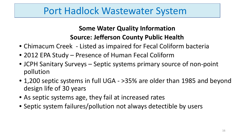#### **Some Water Quality Information Source: Jefferson County Public Health**

- Chimacum Creek Listed as impaired for Fecal Coliform bacteria
- 2012 EPA Study Presence of Human Fecal Coliform
- JCPH Sanitary Surveys Septic systems primary source of non-point pollution
- 1,200 septic systems in full UGA >35% are older than 1985 and beyond design life of 30 years
- As septic systems age, they fail at increased rates
- Septic system failures/pollution not always detectible by users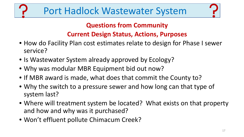#### **Questions from Community**

#### **Current Design Status, Actions, Purposes**

- How do Facility Plan cost estimates relate to design for Phase I sewer service?
- Is Wastewater System already approved by Ecology?
- Why was modular MBR Equipment bid out now?
- If MBR award is made, what does that commit the County to?
- Why the switch to a pressure sewer and how long can that type of system last?
- Where will treatment system be located? What exists on that property and how and why was it purchased?
- Won't effluent pollute Chimacum Creek?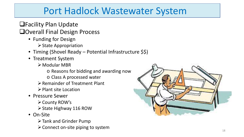Facility Plan Update

#### **QOverall Final Design Process**

- Funding for Design
	- $\triangleright$  State Appropriation
- Timing (Shovel Ready Potential Infrastructure \$\$)
- Treatment System
	- Modular MBR
		- o Reasons for bidding and awarding now
		- o Class A processed water
	- Remainder of Treatment Plant
	- $\triangleright$  Plant site Location
- Pressure Sewer
	- **≻ County ROW's**
	- $\triangleright$  State Highway 116 ROW
- On-Site
	- Tank and Grinder Pump
	- $\triangleright$  Connect on-site piping to system

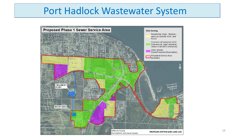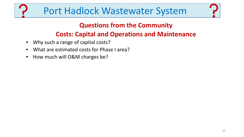#### **Questions from the Community**

#### **Costs: Capital and Operations and Maintenance**

- Why such a range of capital costs?
- What are estimated costs for Phase I area?
- How much will O&M charges be?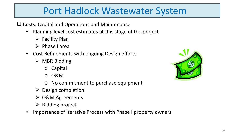**□ Costs: Capital and Operations and Maintenance** 

- Planning level cost estimates at this stage of the project
	- $\triangleright$  Facility Plan
	- $\triangleright$  Phase I area
- Cost Refinements with ongoing Design efforts
	- $\triangleright$  MBR Bidding
		- o Capital
		- o O&M
		- o No commitment to purchase equipment
	- $\triangleright$  Design completion
	- O&M Agreements
	- $\triangleright$  Bidding project
- Importance of Iterative Process with Phase I property owners

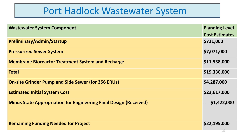| <b>Wastewater System Component</b>                                       | <b>Planning Level</b> |
|--------------------------------------------------------------------------|-----------------------|
|                                                                          | <b>Cost Estimates</b> |
| Preliminary/Admin/Startup                                                | \$721,000             |
| <b>Pressurized Sewer System</b>                                          | \$7,071,000           |
| <b>Membrane Bioreactor Treatment System and Recharge</b>                 | \$11,538,000          |
| <b>Total</b>                                                             | \$19,330,000          |
| <b>On-site Grinder Pump and Side Sewer (for 356 ERUs)</b>                | \$4,287,000           |
| <b>Estimated Initial System Cost</b>                                     | \$23,617,000          |
| <b>Minus State Appropriation for Engineering Final Design (Received)</b> | \$1,422,000           |
| <b>Remaining Funding Needed for Project</b>                              | \$22,195,000          |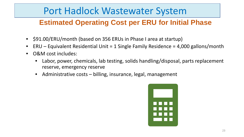#### **Estimated Operating Cost per ERU for Initial Phase**

- \$91.00/ERU/month (based on 356 ERUs in Phase I area at startup)
- $ERU Equivalent Residental Unit = 1$  Single Family Residence = 4,000 gallons/month
- O&M cost includes:
	- Labor, power, chemicals, lab testing, solids handling/disposal, parts replacement reserve, emergency reserve
	- Administrative costs billing, insurance, legal, management

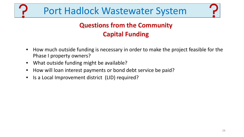#### **Questions from the Community Capital Funding**

- How much outside funding is necessary in order to make the project feasible for the Phase I property owners?
- What outside funding might be available?
- How will loan interest payments or bond debt service be paid?
- Is a Local Improvement district (LID) required?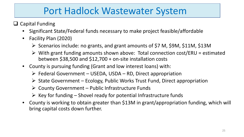- $\Box$  Capital Funding
	- Significant State/Federal funds necessary to make project feasible/affordable
	- Facility Plan (2020)
		- $\triangleright$  Scenarios include: no grants, and grant amounts of \$7 M, \$9M, \$11M, \$13M
		- $\triangleright$  With grant funding amounts shown above: Total connection cost/ERU = estimated between \$38,500 and \$12,700 + on-site installation costs
	- County is pursuing funding (Grant and low interest loans) with:
		- $\triangleright$  Federal Government USEDA, USDA RD, Direct appropriation
		- $\triangleright$  State Government Ecology, Public Works Trust Fund, Direct appropriation
		- $\triangleright$  County Government Public Infrastructure Funds
		- $\triangleright$  Key for funding Shovel ready for potential Infrastructure funds
	- County is working to obtain greater than \$13M in grant/appropriation funding, which will bring capital costs down further.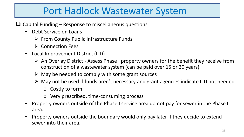- $\Box$  Capital Funding Response to miscellaneous questions
	- Debt Service on Loans
		- $\triangleright$  From County Public Infrastructure Funds
		- $\triangleright$  Connection Fees
	- Local Improvement District (LID)
		- $\triangleright$  An Overlay District Assess Phase I property owners for the benefit they receive from construction of a wastewater system (can be paid over 15 or 20 years).
		- $\triangleright$  May be needed to comply with some grant sources
		- $\triangleright$  May not be used if funds aren't necessary and grant agencies indicate LID not needed o Costly to form
			- o Very prescribed, time-consuming process
	- Property owners outside of the Phase I service area do not pay for sewer in the Phase I area.
	- Property owners outside the boundary would only pay later if they decide to extend sewer into their area.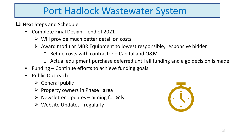- $\Box$  Next Steps and Schedule
	- Complete Final Design end of 2021
		- $\triangleright$  Will provide much better detail on costs
		- $\triangleright$  Award modular MBR Equipment to lowest responsible, responsive bidder
			- o Refine costs with contractor Capital and O&M
			- o Actual equipment purchase deferred until all funding and a go decision is made
	- Funding Continue efforts to achieve funding goals
	- Public Outreach
		- $\triangleright$  General public
		- $\triangleright$  Property owners in Phase I area
		- $\triangleright$  Newsletter Updates aiming for  $\frac{1}{4}$ ly
		- $\triangleright$  Website Updates regularly